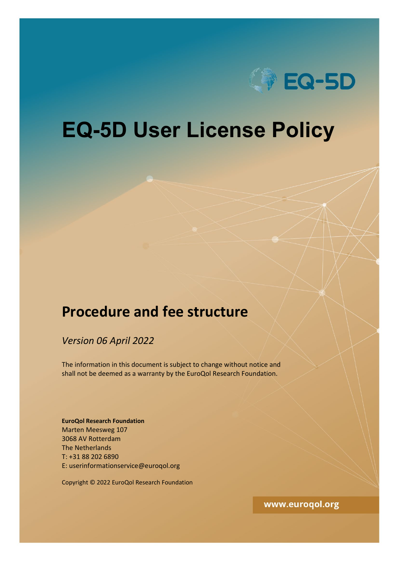

# **EQ-5D User License Policy**

# **Procedure and fee structure**

*Version 06 April 2022*

The information in this document is subject to change without notice and shall not be deemed as a warranty by the EuroQol Research Foundation.

**EuroQol Research Foundation** Marten Meesweg 107 3068 AV Rotterdam The Netherlands T: +31 88 202 6890 E: userinformationservice@euroqol.org

Copyright © 2022 EuroQol Research Foundation

www.euroqol.org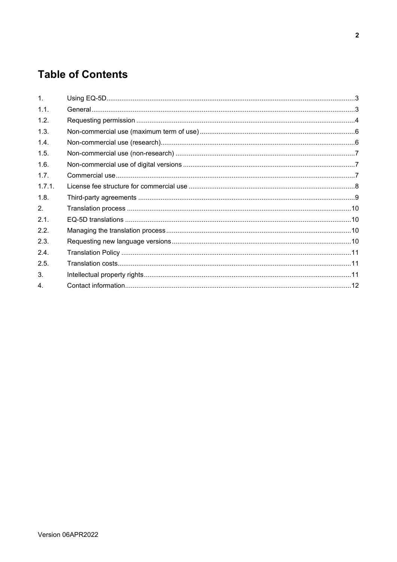# **Table of Contents**

| $\mathbf{1}$     |  |
|------------------|--|
| 1.1.             |  |
| 1.2.             |  |
| 1.3.             |  |
| 1.4.             |  |
| 1.5.             |  |
| 1.6.             |  |
| 1.7.             |  |
| 1.7.1.           |  |
| 1.8.             |  |
| 2.               |  |
| 2.1.             |  |
| 2.2.             |  |
| 2.3.             |  |
| 2.4.             |  |
| 2.5.             |  |
| 3.               |  |
| $\overline{4}$ . |  |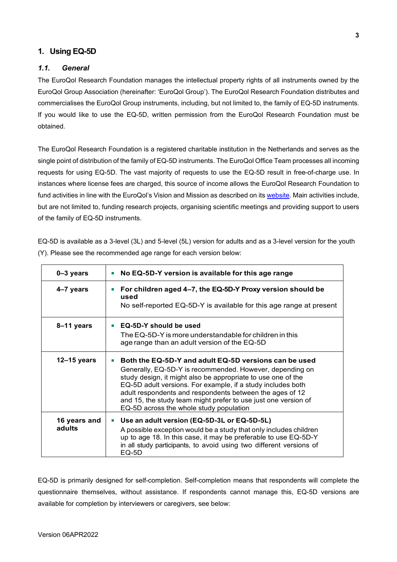# <span id="page-2-0"></span>**1. Using EQ-5D**

#### <span id="page-2-1"></span>*1.1. General*

The EuroQol Research Foundation manages the intellectual property rights of all instruments owned by the EuroQol Group Association (hereinafter: 'EuroQol Group'). The EuroQol Research Foundation distributes and commercialises the EuroQol Group instruments, including, but not limited to, the family of EQ-5D instruments. If you would like to use the EQ-5D, written permission from the EuroQol Research Foundation must be obtained.

The EuroQol Research Foundation is a registered charitable institution in the Netherlands and serves as the single point of distribution of the family of EQ-5D instruments. The EuroQol Office Team processes all incoming requests for using EQ-5D. The vast majority of requests to use the EQ-5D result in free-of-charge use. In instances where license fees are charged, this source of income allows the EuroQol Research Foundation to fund activities in line with the EuroQol's Vision and Mission as described on its [website.](https://euroqol.org/euroqol/vision-and-mission/) Main activities include, but are not limited to, funding research projects, organising scientific meetings and providing support to users of the family of EQ-5D instruments.

EQ-5D is available as a 3-level (3L) and 5-level (5L) version for adults and as a 3-level version for the youth (Y). Please see the recommended age range for each version below:

| 0-3 years              | No EQ-5D-Y version is available for this age range                                                                                                                                                                                                                                                                                                                                                                        |
|------------------------|---------------------------------------------------------------------------------------------------------------------------------------------------------------------------------------------------------------------------------------------------------------------------------------------------------------------------------------------------------------------------------------------------------------------------|
| 4-7 years              | For children aged 4-7, the EQ-5D-Y Proxy version should be<br>used<br>No self-reported EQ-5D-Y is available for this age range at present                                                                                                                                                                                                                                                                                 |
| 8-11 years             | EQ-5D-Y should be used<br>The EQ-5D-Y is more understandable for children in this<br>age range than an adult version of the EQ-5D                                                                                                                                                                                                                                                                                         |
| 12-15 years            | Both the EQ-5D-Y and adult EQ-5D versions can be used<br>Generally, EQ-5D-Y is recommended. However, depending on<br>study design, it might also be appropriate to use one of the<br>EQ-5D adult versions. For example, if a study includes both<br>adult respondents and respondents between the ages of 12<br>and 15, the study team might prefer to use just one version of<br>EQ-5D across the whole study population |
| 16 years and<br>adults | Use an adult version (EQ-5D-3L or EQ-5D-5L)<br>A possible exception would be a study that only includes children<br>up to age 18. In this case, it may be preferable to use EQ-5D-Y<br>in all study participants, to avoid using two different versions of<br>EQ-5D                                                                                                                                                       |

EQ-5D is primarily designed for self-completion. Self-completion means that respondents will complete the questionnaire themselves, without assistance. If respondents cannot manage this, EQ-5D versions are available for completion by interviewers or caregivers, see below: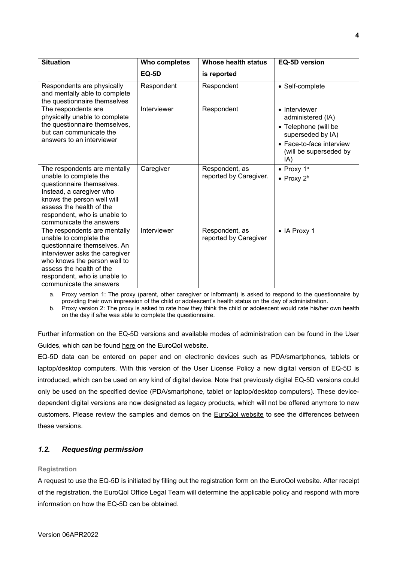| <b>Situation</b>                                                                                                                                                                                                                                | Who completes | Whose health status                      | <b>EQ-5D version</b>                                                                                                                         |
|-------------------------------------------------------------------------------------------------------------------------------------------------------------------------------------------------------------------------------------------------|---------------|------------------------------------------|----------------------------------------------------------------------------------------------------------------------------------------------|
|                                                                                                                                                                                                                                                 | <b>EQ-5D</b>  | is reported                              |                                                                                                                                              |
| Respondents are physically<br>and mentally able to complete<br>the questionnaire themselves                                                                                                                                                     | Respondent    | Respondent                               | • Self-complete                                                                                                                              |
| The respondents are<br>physically unable to complete<br>the questionnaire themselves,<br>but can communicate the<br>answers to an interviewer                                                                                                   | Interviewer   | Respondent                               | • Interviewer<br>administered (IA)<br>• Telephone (will be<br>superseded by IA)<br>• Face-to-face interview<br>(will be superseded by<br>IA) |
| The respondents are mentally<br>unable to complete the<br>questionnaire themselves.<br>Instead, a caregiver who<br>knows the person well will<br>assess the health of the<br>respondent, who is unable to<br>communicate the answers            | Caregiver     | Respondent, as<br>reported by Caregiver. | • Proxy $1^a$<br>• Proxy $2^b$                                                                                                               |
| The respondents are mentally<br>unable to complete the<br>questionnaire themselves. An<br>interviewer asks the caregiver<br>who knows the person well to<br>assess the health of the<br>respondent, who is unable to<br>communicate the answers | Interviewer   | Respondent, as<br>reported by Caregiver  | • IA Proxy 1                                                                                                                                 |

a. Proxy version 1: The proxy (parent, other caregiver or informant) is asked to respond to the questionnaire by providing their own impression of the child or adolescent's health status on the day of administration.

b. Proxy version 2: The proxy is asked to rate how they think the child or adolescent would rate his/her own health on the day if s/he was able to complete the questionnaire.

Further information on the EQ-5D versions and available modes of administration can be found in the User Guides, which can be found [here](https://euroqol.org/publications/user-guides/) on the EuroQol website.

EQ-5D data can be entered on paper and on electronic devices such as PDA/smartphones, tablets or laptop/desktop computers. With this version of the User License Policy a new digital version of EQ-5D is introduced, which can be used on any kind of digital device. Note that previously digital EQ-5D versions could only be used on the specified device (PDA/smartphone, tablet or laptop/desktop computers). These devicedependent digital versions are now designated as legacy products, which will not be offered anymore to new customers. Please review the samples and demos on the [EuroQol website](https://euroqol.org/eq-5d-instruments/sample-demo/) to see the differences between these versions.

# <span id="page-3-0"></span>*1.2. Requesting permission*

#### **Registration**

A request to use the EQ-5D is initiated by filling out the [registration form](http://www.euroqol.org/register-to-use-eq-5d.html) on the EuroQol website. After receipt of the registration, the EuroQol Office Legal Team will determine the applicable policy and respond with more information on how the EQ-5D can be obtained.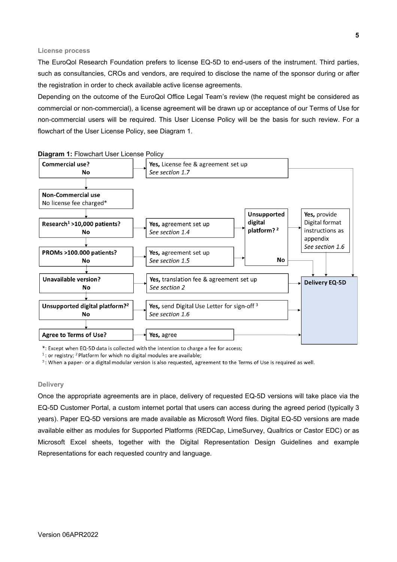#### **License process**

The EuroQol Research Foundation prefers to license EQ-5D to end-users of the instrument. Third parties, such as consultancies, CROs and vendors, are required to disclose the name of the sponsor during or after the registration in order to check available active license agreements.

Depending on the outcome of the EuroQol Office Legal Team's review (the request might be considered as commercial or non-commercial), a license agreement will be drawn up or acceptance of our Terms of Use for non-commercial users will be required. This User License Policy will be the basis for such review. For a flowchart of the User License Policy, see Diagram 1.



**Diagram 1:** Flowchart User License Policy

\*: Except when EQ-5D data is collected with the intention to charge a fee for access;

 $1$ : or registry; <sup>2</sup> Platform for which no digital modules are available;

<sup>3</sup>: When a paper- or a digital modular version is also requested, agreement to the Terms of Use is required as well.

#### **Delivery**

Once the appropriate agreements are in place, delivery of requested EQ-5D versions will take place via the EQ-5D Customer Portal, a custom internet portal that users can access during the agreed period (typically 3 years). Paper EQ-5D versions are made available as Microsoft Word files. Digital EQ-5D versions are made available either as modules for Supported Platforms (REDCap, LimeSurvey, Qualtrics or Castor EDC) or as Microsoft Excel sheets, together with the Digital Representation Design Guidelines and example Representations for each requested country and language.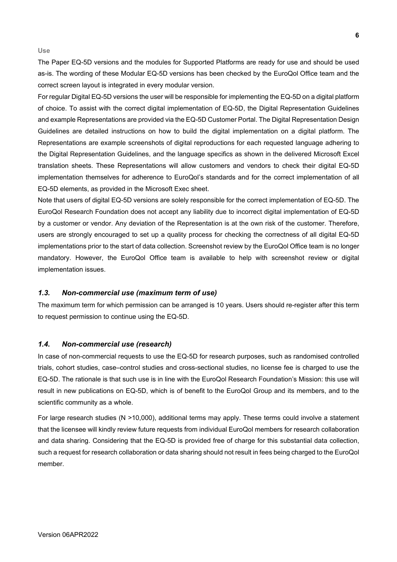**Use**

The Paper EQ-5D versions and the modules for Supported Platforms are ready for use and should be used as-is. The wording of these Modular EQ-5D versions has been checked by the EuroQol Office team and the correct screen layout is integrated in every modular version.

For regular Digital EQ-5D versions the user will be responsible for implementing the EQ-5D on a digital platform of choice. To assist with the correct digital implementation of EQ-5D, the Digital Representation Guidelines and example Representations are provided via the EQ-5D Customer Portal. The Digital Representation Design Guidelines are detailed instructions on how to build the digital implementation on a digital platform. The Representations are example screenshots of digital reproductions for each requested language adhering to the Digital Representation Guidelines, and the language specifics as shown in the delivered Microsoft Excel translation sheets. These Representations will allow customers and vendors to check their digital EQ-5D implementation themselves for adherence to EuroQol's standards and for the correct implementation of all EQ-5D elements, as provided in the Microsoft Exec sheet.

Note that users of digital EQ-5D versions are solely responsible for the correct implementation of EQ-5D. The EuroQol Research Foundation does not accept any liability due to incorrect digital implementation of EQ-5D by a customer or vendor. Any deviation of the Representation is at the own risk of the customer. Therefore, users are strongly encouraged to set up a quality process for checking the correctness of all digital EQ-5D implementations prior to the start of data collection. Screenshot review by the EuroQol Office team is no longer mandatory. However, the EuroQol Office team is available to help with screenshot review or digital implementation issues.

#### <span id="page-5-0"></span>*1.3. Non-commercial use (maximum term of use)*

The maximum term for which permission can be arranged is 10 years. Users should re-register after this term to request permission to continue using the EQ-5D.

#### <span id="page-5-1"></span>*1.4. Non-commercial use (research)*

In case of non-commercial requests to use the EQ-5D for research purposes, such as randomised controlled trials, cohort studies, case–control studies and cross-sectional studies, no license fee is charged to use the EQ-5D. The rationale is that such use is in line with the EuroQol Research Foundation's Mission: this use will result in new publications on EQ-5D, which is of benefit to the EuroQol Group and its members, and to the scientific community as a whole.

For large research studies (N >10,000), additional terms may apply. These terms could involve a statement that the licensee will kindly review future requests from individual EuroQol members for research collaboration and data sharing. Considering that the EQ-5D is provided free of charge for this substantial data collection, such a request for research collaboration or data sharing should not result in fees being charged to the EuroQol member.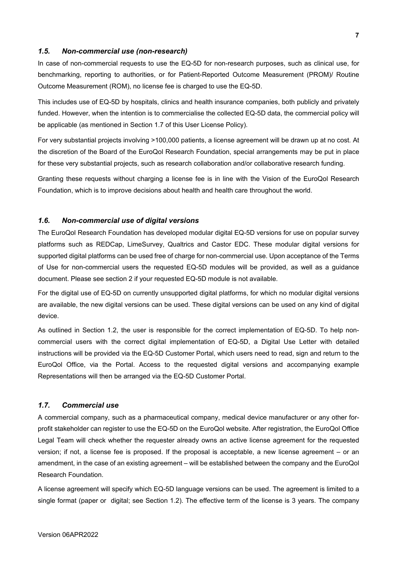#### <span id="page-6-0"></span>*1.5. Non-commercial use (non-research)*

In case of non-commercial requests to use the EQ-5D for non-research purposes, such as clinical use, for benchmarking, reporting to authorities, or for Patient-Reported Outcome Measurement (PROM)/ Routine Outcome Measurement (ROM), no license fee is charged to use the EQ-5D.

This includes use of EQ-5D by hospitals, clinics and health insurance companies, both publicly and privately funded. However, when the intention is to commercialise the collected EQ-5D data, the commercial policy will be applicable (as mentioned in Section 1.7 of this User License Policy).

For very substantial projects involving >100,000 patients, a license agreement will be drawn up at no cost. At the discretion of the Board of the EuroQol Research Foundation, special arrangements may be put in place for these very substantial projects, such as research collaboration and/or collaborative research funding.

Granting these requests without charging a license fee is in line with the Vision of the EuroQol Research Foundation, which is to improve decisions about health and health care throughout the world.

#### <span id="page-6-1"></span>*1.6. Non-commercial use of digital versions*

The EuroQol Research Foundation has developed modular digital EQ-5D versions for use on popular survey platforms such as REDCap, LimeSurvey, Qualtrics and Castor EDC. These modular digital versions for supported digital platforms can be used free of charge for non-commercial use. Upon acceptance of the Terms of Use for non-commercial users the requested EQ-5D modules will be provided, as well as a guidance document. Please see section 2 if your requested EQ-5D module is not available.

For the digital use of EQ-5D on currently unsupported digital platforms, for which no modular digital versions are available, the new digital versions can be used. These digital versions can be used on any kind of digital device.

As outlined in Section 1.2, the user is responsible for the correct implementation of EQ-5D. To help noncommercial users with the correct digital implementation of EQ-5D, a Digital Use Letter with detailed instructions will be provided via the EQ-5D Customer Portal, which users need to read, sign and return to the EuroQol Office, via the Portal. Access to the requested digital versions and accompanying example Representations will then be arranged via the EQ-5D Customer Portal.

#### <span id="page-6-2"></span>*1.7. Commercial use*

A commercial company, such as a pharmaceutical company, medical device manufacturer or any other forprofit stakeholder can register to use the EQ-5D on the EuroQol website. After registration, the EuroQol Office Legal Team will check whether the requester already owns an active license agreement for the requested version; if not, a license fee is proposed. If the proposal is acceptable, a new license agreement – or an amendment, in the case of an existing agreement – will be established between the company and the EuroQol Research Foundation.

A license agreement will specify which EQ-5D language versions can be used. The agreement is limited to a single format (paper or digital; see Section 1.2). The effective term of the license is 3 years. The company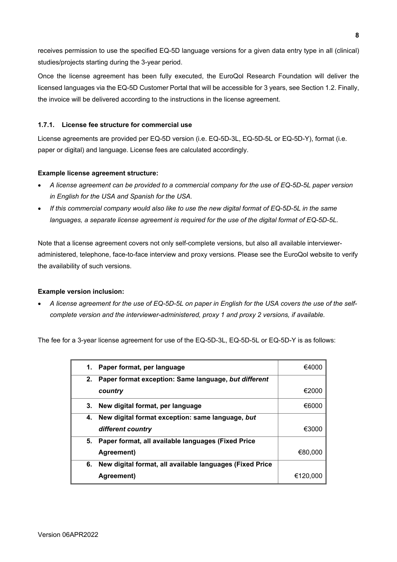receives permission to use the specified EQ-5D language versions for a given data entry type in all (clinical) studies/projects starting during the 3-year period.

Once the license agreement has been fully executed, the EuroQol Research Foundation will deliver the licensed languages via the EQ-5D Customer Portal that will be accessible for 3 years, see Section 1.2. Finally, the invoice will be delivered according to the instructions in the license agreement.

#### <span id="page-7-0"></span>**1.7.1. License fee structure for commercial use**

License agreements are provided per EQ-5D version (i.e. EQ-5D-3L, EQ-5D-5L or EQ-5D-Y), format (i.e. paper or digital) and language. License fees are calculated accordingly.

#### **Example license agreement structure:**

- *A license agreement can be provided to a commercial company for the use of EQ-5D-5L paper version in English for the USA and Spanish for the USA.*
- *If this commercial company would also like to use the new digital format of EQ-5D-5L in the same languages, a separate license agreement is required for the use of the digital format of EQ-5D-5L.*

Note that a license agreement covers not only self-complete versions, but also all available intervieweradministered, telephone, face-to-face interview and proxy versions. Please see the EuroQol website to verify the availability of such versions.

#### **Example version inclusion:**

• *A license agreement for the use of EQ-5D-5L on paper in English for the USA covers the use of the selfcomplete version and the interviewer-administered, proxy 1 and proxy 2 versions, if available.*

The fee for a 3-year license agreement for use of the EQ-5D-3L, EQ-5D-5L or EQ-5D-Y is as follows:

| 1. | Paper format, per language                               | €4000    |
|----|----------------------------------------------------------|----------|
| 2. | Paper format exception: Same language, but different     |          |
|    | country                                                  | €2000    |
|    | 3. New digital format, per language                      | €6000    |
|    | 4. New digital format exception: same language, but      |          |
|    | different country                                        | €3000    |
| 5. | Paper format, all available languages (Fixed Price       |          |
|    | Agreement)                                               | €80,000  |
| 6. | New digital format, all available languages (Fixed Price |          |
|    | Agreement)                                               | €120.000 |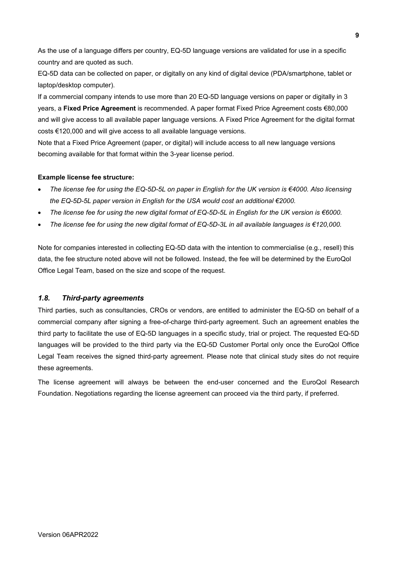As the use of a language differs per country, EQ-5D language versions are validated for use in a specific country and are quoted as such.

EQ-5D data can be collected on paper, or digitally on any kind of digital device (PDA/smartphone, tablet or laptop/desktop computer).

If a commercial company intends to use more than 20 EQ-5D language versions on paper or digitally in 3 years, a **Fixed Price Agreement** is recommended. A paper format Fixed Price Agreement costs €80,000 and will give access to all available paper language versions. A Fixed Price Agreement for the digital format costs €120,000 and will give access to all available language versions.

Note that a Fixed Price Agreement (paper, or digital) will include access to all new language versions becoming available for that format within the 3-year license period.

#### **Example license fee structure:**

- *The license fee for using the EQ-5D-5L on paper in English for the UK version is €4000. Also licensing the EQ-5D-5L paper version in English for the USA would cost an additional €2000.*
- *The license fee for using the new digital format of EQ-5D-5L in English for the UK version is €6000.*
- *The license fee for using the new digital format of EQ-5D-3L in all available languages is €120,000.*

Note for companies interested in collecting EQ-5D data with the intention to commercialise (e.g., resell) this data, the fee structure noted above will not be followed. Instead, the fee will be determined by the EuroQol Office Legal Team, based on the size and scope of the request.

### <span id="page-8-0"></span>*1.8. Third-party agreements*

Third parties, such as consultancies, CROs or vendors, are entitled to administer the EQ-5D on behalf of a commercial company after signing a free-of-charge third-party agreement. Such an agreement enables the third party to facilitate the use of EQ-5D languages in a specific study, trial or project. The requested EQ-5D languages will be provided to the third party via the EQ-5D Customer Portal only once the EuroQol Office Legal Team receives the signed third-party agreement. Please note that clinical study sites do not require these agreements.

The license agreement will always be between the end-user concerned and the EuroQol Research Foundation. Negotiations regarding the license agreement can proceed via the third party, if preferred.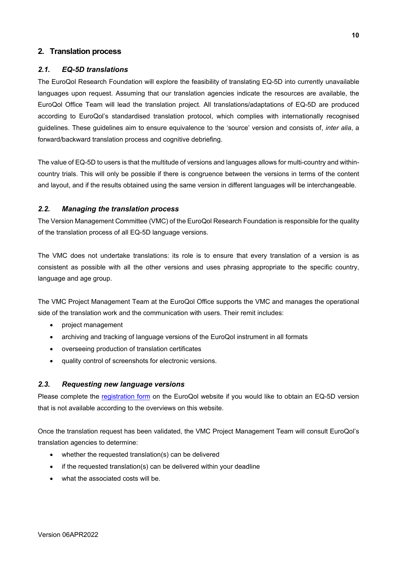### <span id="page-9-0"></span>**2. Translation process**

#### <span id="page-9-1"></span>*2.1. EQ-5D translations*

The EuroQol Research Foundation will explore the feasibility of translating EQ-5D into currently unavailable languages upon request. Assuming that our translation agencies indicate the resources are available, the EuroQol Office Team will lead the translation project. All translations/adaptations of EQ-5D are produced according to EuroQol's standardised translation protocol, which complies with internationally recognised guidelines. These guidelines aim to ensure equivalence to the 'source' version and consists of, *inter alia*, a forward/backward translation process and cognitive debriefing.

The value of EQ-5D to users is that the multitude of versions and languages allows for multi-country and withincountry trials. This will only be possible if there is congruence between the versions in terms of the content and layout, and if the results obtained using the same version in different languages will be interchangeable.

#### <span id="page-9-2"></span>*2.2. Managing the translation process*

The Version Management Committee (VMC) of the EuroQol Research Foundation is responsible for the quality of the translation process of all EQ-5D language versions.

The VMC does not undertake translations: its role is to ensure that every translation of a version is as consistent as possible with all the other versions and uses phrasing appropriate to the specific country, language and age group.

The VMC Project Management Team at the EuroQol Office supports the VMC and manages the operational side of the translation work and the communication with users. Their remit includes:

- project management
- archiving and tracking of language versions of the EuroQol instrument in all formats
- overseeing production of translation certificates
- quality control of screenshots for electronic versions.

#### <span id="page-9-3"></span>*2.3. Requesting new language versions*

Please complete the [registration form](https://euroqol.org/eq-5d-registration-form/) on the EuroQol website if you would like to obtain an EQ-5D version that is not available according to the overviews on this website.

Once the translation request has been validated, the VMC Project Management Team will consult EuroQol's translation agencies to determine:

- whether the requested translation(s) can be delivered
- if the requested translation(s) can be delivered within your deadline
- what the associated costs will be.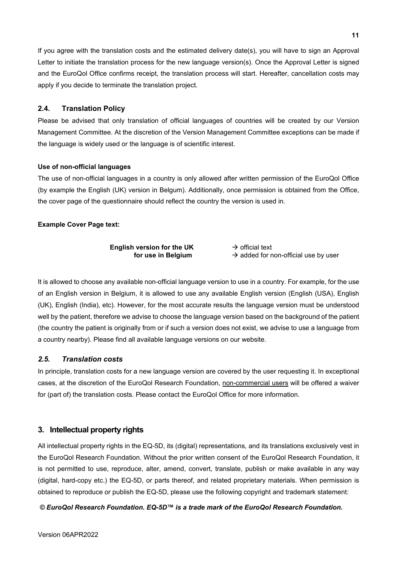If you agree with the translation costs and the estimated delivery date(s), you will have to sign an Approval Letter to initiate the translation process for the new language version(s). Once the Approval Letter is signed and the EuroQol Office confirms receipt, the translation process will start. Hereafter, cancellation costs may apply if you decide to terminate the translation project.

### <span id="page-10-0"></span>**2.4. Translation Policy**

Please be advised that only translation of official languages of countries will be created by our Version Management Committee. At the discretion of the Version Management Committee exceptions can be made if the language is widely used or the language is of scientific interest.

#### **Use of non-official languages**

The use of non-official languages in a country is only allowed after written permission of the EuroQol Office (by example the English (UK) version in Belgum). Additionally, once permission is obtained from the Office, the cover page of the questionnaire should reflect the country the version is used in.

### **Example Cover Page text:**

| English version for the UK | $\rightarrow$ official text                      |
|----------------------------|--------------------------------------------------|
| for use in Belgium         | $\rightarrow$ added for non-official use by user |

It is allowed to choose any available non-official language version to use in a country. For example, for the use of an English version in Belgium, it is allowed to use any available English version (English (USA), English (UK), English (India), etc). However, for the most accurate results the language version must be understood well by the patient, therefore we advise to choose the language version based on the background of the patient (the country the patient is originally from or if such a version does not exist, we advise to use a language from a country nearby). Please find all available language versions on our website.

### <span id="page-10-1"></span>*2.5. Translation costs*

In principle, translation costs for a new language version are covered by the user requesting it. In exceptional cases, at the discretion of the EuroQol Research Foundation, non-commercial users will be offered a waiver for (part of) the translation costs. Please contact the EuroQol Office for more information.

# <span id="page-10-2"></span>**3. Intellectual property rights**

All intellectual property rights in the EQ-5D, its (digital) representations, and its translations exclusively vest in the EuroQol Research Foundation. Without the prior written consent of the EuroQol Research Foundation, it is not permitted to use, reproduce, alter, amend, convert, translate, publish or make available in any way (digital, hard-copy etc.) the EQ-5D, or parts thereof, and related proprietary materials. When permission is obtained to reproduce or publish the EQ-5D, please use the following copyright and trademark statement:

### *© EuroQol Research Foundation. EQ-5D™ is a trade mark of the EuroQol Research Foundation.*